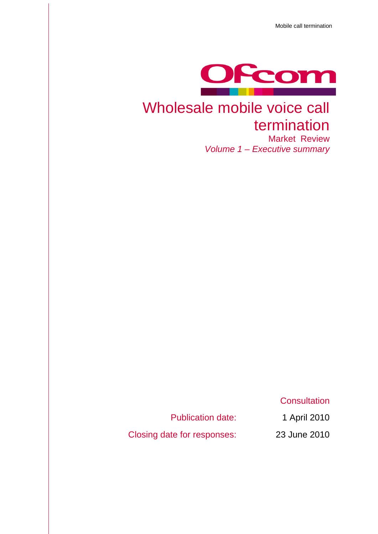Mobile call termination



## Wholesale mobile voice call termination Market Review

*Volume 1 – Executive summary*

**Consultation** 

Publication date: 1 April 2010

Closing date for responses: 23 June 2010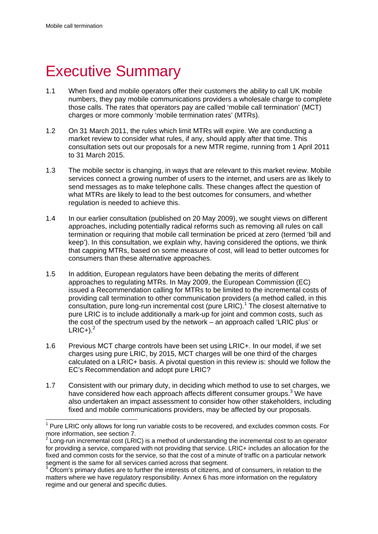1

# **Executive Summary**

- 1.1 When fixed and mobile operators offer their customers the ability to call UK mobile numbers, they pay mobile communications providers a wholesale charge to complete those calls. The rates that operators pay are called 'mobile call termination' (MCT) charges or more commonly 'mobile termination rates' (MTRs).
- 1.2 On 31 March 2011, the rules which limit MTRs will expire. We are conducting a market review to consider what rules, if any, should apply after that time. This consultation sets out our proposals for a new MTR regime, running from 1 April 2011 to 31 March 2015.
- 1.3 The mobile sector is changing, in ways that are relevant to this market review. Mobile services connect a growing number of users to the internet, and users are as likely to send messages as to make telephone calls. These changes affect the question of what MTRs are likely to lead to the best outcomes for consumers, and whether regulation is needed to achieve this.
- 1.4 In our earlier consultation (published on 20 May 2009), we sought views on different approaches, including potentially radical reforms such as removing all rules on call termination or requiring that mobile call termination be priced at zero (termed 'bill and keep'). In this consultation, we explain why, having considered the options, we think that capping MTRs, based on some measure of cost, will lead to better outcomes for consumers than these alternative approaches.
- 1.5 In addition, European regulators have been debating the merits of different approaches to regulating MTRs. In May 2009, the European Commission (EC) issued a Recommendation calling for MTRs to be limited to the incremental costs of providing call termination to other communication providers (a method called, in this  $\cos$  consultation, pure long-run incremental cost (pure LRIC).<sup>1</sup> The closest alternative to pure LRIC is to include additionally a mark-up for joint and common costs, such as the cost of the spectrum used by the network – an approach called 'LRIC plus' or  $LRIC+$ ).<sup>2</sup>
- 1.6 Previous MCT charge controls have been set using LRIC+. In our model, if we set charges using pure LRIC, by 2015, MCT charges will be one third of the charges calculated on a LRIC+ basis. A pivotal question in this review is: should we follow the EC's Recommendation and adopt pure LRIC?
- 1.7 Consistent with our primary duty, in deciding which method to use to set charges, we have considered how each approach affects different consumer groups.<sup>3</sup> We have also undertaken an impact assessment to consider how other stakeholders, including fixed and mobile communications providers, may be affected by our proposals.

 $1$  Pure LRIC only allows for long run variable costs to be recovered, and excludes common costs. For more information, see section 7.

 $2$  Long-run incremental cost (LRIC) is a method of understanding the incremental cost to an operator for providing a service, compared with not providing that service. LRIC+ includes an allocation for the fixed and common costs for the service, so that the cost of a minute of traffic on a particular network segment is the same for all services carried across that segment.

<sup>&</sup>lt;sup>3</sup> Ofcom's primary duties are to further the interests of citizens, and of consumers, in relation to the matters where we have regulatory responsibility. Annex 6 has more information on the regulatory regime and our general and specific duties.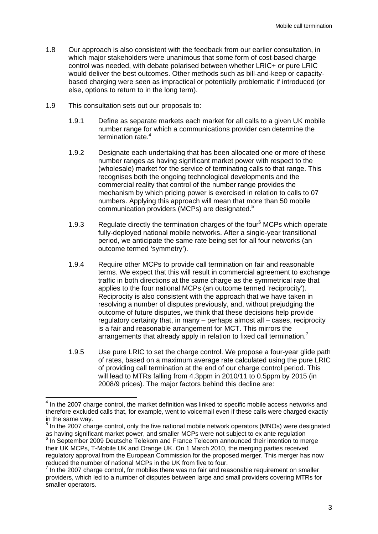- 1.8 Our approach is also consistent with the feedback from our earlier consultation, in which major stakeholders were unanimous that some form of cost-based charge control was needed, with debate polarised between whether LRIC+ or pure LRIC would deliver the best outcomes. Other methods such as bill-and-keep or capacitybased charging were seen as impractical or potentially problematic if introduced (or else, options to return to in the long term).
- 1.9 This consultation sets out our proposals to:

1

- 1.9.1 Define as separate markets each market for all calls to a given UK mobile number range for which a communications provider can determine the termination rate.<sup>4</sup>
- 1.9.2 Designate each undertaking that has been allocated one or more of these number ranges as having significant market power with respect to the (wholesale) market for the service of terminating calls to that range. This recognises both the ongoing technological developments and the commercial reality that control of the number range provides the mechanism by which pricing power is exercised in relation to calls to 07 numbers. Applying this approach will mean that more than 50 mobile communication providers (MCPs) are designated.<sup>5</sup>
- 1.9.3 Regulate directly the termination charges of the four<sup>6</sup> MCPs which operate fully-deployed national mobile networks. After a single-year transitional period, we anticipate the same rate being set for all four networks (an outcome termed 'symmetry').
- 1.9.4 Require other MCPs to provide call termination on fair and reasonable terms. We expect that this will result in commercial agreement to exchange traffic in both directions at the same charge as the symmetrical rate that applies to the four national MCPs (an outcome termed 'reciprocity'). Reciprocity is also consistent with the approach that we have taken in resolving a number of disputes previously, and, without prejudging the outcome of future disputes, we think that these decisions help provide regulatory certainty that, in many – perhaps almost all – cases, reciprocity is a fair and reasonable arrangement for MCT. This mirrors the arrangements that already apply in relation to fixed call termination.<sup>7</sup>
- 1.9.5 Use pure LRIC to set the charge control. We propose a four-year glide path of rates, based on a maximum average rate calculated using the pure LRIC of providing call termination at the end of our charge control period. This will lead to MTRs falling from 4.3ppm in 2010/11 to 0.5ppm by 2015 (in 2008/9 prices). The major factors behind this decline are:

 $<sup>4</sup>$  In the 2007 charge control, the market definition was linked to specific mobile access networks and</sup> therefore excluded calls that, for example, went to voicemail even if these calls were charged exactly in the same way.

<sup>&</sup>lt;sup>5</sup> In the 2007 charge control, only the five national mobile network operators (MNOs) were designated as having significant market power, and smaller MCPs were not subject to ex ante regulation 6  $6$  In September 2009 Deutsche Telekom and France Telecom announced their intention to merge their UK MCPs, T-Mobile UK and Orange UK. On 1 March 2010, the merging parties received

regulatory approval from the European Commission for the proposed merger. This merger has now reduced the number of national MCPs in the UK from five to four.

 $<sup>7</sup>$  In the 2007 charge control, for mobiles there was no fair and reasonable requirement on smaller</sup> providers, which led to a number of disputes between large and small providers covering MTRs for smaller operators.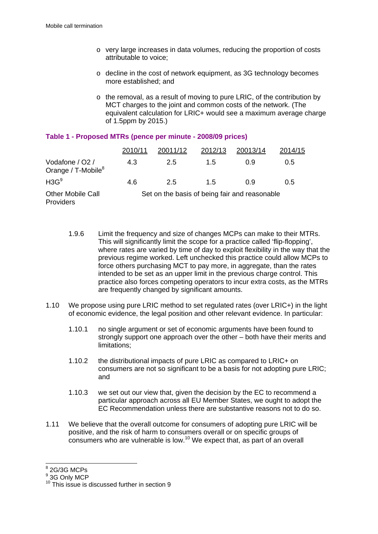- o very large increases in data volumes, reducing the proportion of costs attributable to voice;
- o decline in the cost of network equipment, as 3G technology becomes more established; and
- o the removal, as a result of moving to pure LRIC, of the contribution by MCT charges to the joint and common costs of the network. (The equivalent calculation for LRIC+ would see a maximum average charge of 1.5ppm by 2015.)

|                                                      | 2010/11                                       | 20011/12 | 2012/13 | 20013/14 | 2014/15 |
|------------------------------------------------------|-----------------------------------------------|----------|---------|----------|---------|
| Vodafone / O2 /<br>Orange / $T$ -Mobile <sup>8</sup> | 4.3                                           | 2.5      | 1.5     | 0.9      | 0.5     |
| H3G <sup>9</sup>                                     | 4.6                                           | 2.5      | 1.5     | 0.9      | 0.5     |
| Other Mobile Call<br>Providers                       | Set on the basis of being fair and reasonable |          |         |          |         |

### **Table 1 - Proposed MTRs (pence per minute - 2008/09 prices)**

- 1.9.6 Limit the frequency and size of changes MCPs can make to their MTRs. This will significantly limit the scope for a practice called 'flip-flopping', where rates are varied by time of day to exploit flexibility in the way that the previous regime worked. Left unchecked this practice could allow MCPs to force others purchasing MCT to pay more, in aggregate, than the rates intended to be set as an upper limit in the previous charge control. This practice also forces competing operators to incur extra costs, as the MTRs are frequently changed by significant amounts.
- 1.10 We propose using pure LRIC method to set regulated rates (over LRIC+) in the light of economic evidence, the legal position and other relevant evidence. In particular:
	- 1.10.1 no single argument or set of economic arguments have been found to strongly support one approach over the other – both have their merits and limitations;
	- 1.10.2 the distributional impacts of pure LRIC as compared to LRIC+ on consumers are not so significant to be a basis for not adopting pure LRIC; and
	- 1.10.3 we set out our view that, given the decision by the EC to recommend a particular approach across all EU Member States, we ought to adopt the EC Recommendation unless there are substantive reasons not to do so.
- 1.11 We believe that the overall outcome for consumers of adopting pure LRIC will be positive, and the risk of harm to consumers overall or on specific groups of consumers who are vulnerable is low.<sup>10</sup> We expect that, as part of an overall

 8 2G/3G MCPs

<sup>&</sup>lt;sup>9</sup> 3G Only MCP

<sup>&</sup>lt;sup>10</sup> This issue is discussed further in section 9